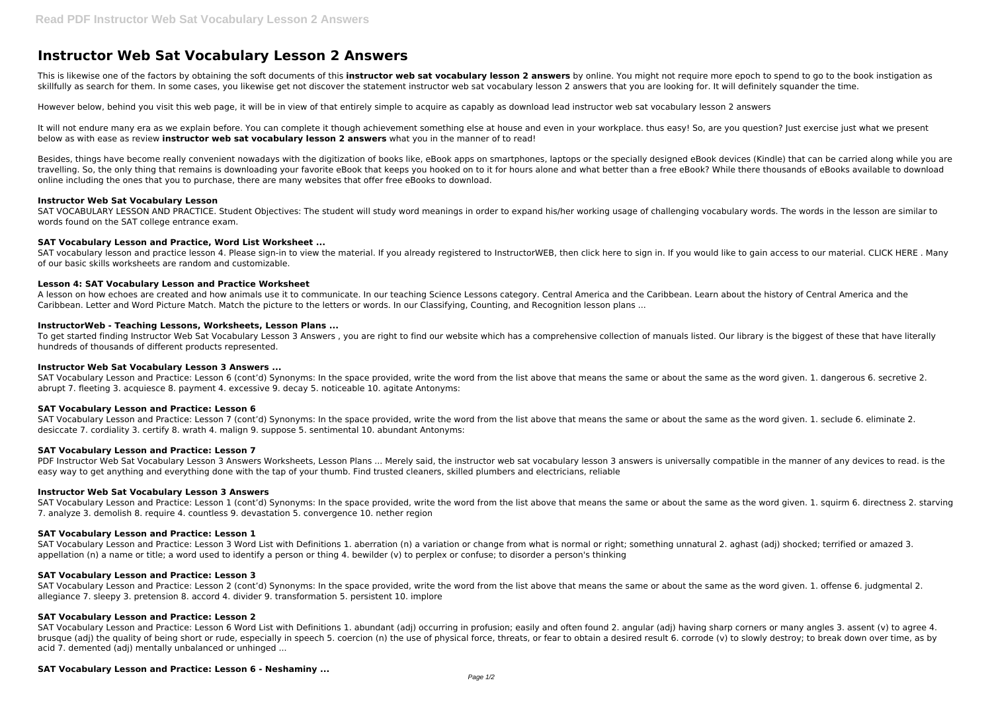# **Instructor Web Sat Vocabulary Lesson 2 Answers**

This is likewise one of the factors by obtaining the soft documents of this **instructor web sat vocabulary lesson 2 answers** by online. You might not require more epoch to spend to go to the book instigation as skillfully as search for them. In some cases, you likewise get not discover the statement instructor web sat vocabulary lesson 2 answers that you are looking for. It will definitely squander the time.

It will not endure many era as we explain before. You can complete it though achievement something else at house and even in your workplace. thus easy! So, are you question? Just exercise just what we present below as with ease as review **instructor web sat vocabulary lesson 2 answers** what you in the manner of to read!

However below, behind you visit this web page, it will be in view of that entirely simple to acquire as capably as download lead instructor web sat vocabulary lesson 2 answers

Besides, things have become really convenient nowadays with the digitization of books like, eBook apps on smartphones, laptops or the specially designed eBook devices (Kindle) that can be carried along while you are travelling. So, the only thing that remains is downloading your favorite eBook that keeps you hooked on to it for hours alone and what better than a free eBook? While there thousands of eBooks available to download online including the ones that you to purchase, there are many websites that offer free eBooks to download.

SAT VOCABULARY LESSON AND PRACTICE. Student Objectives: The student will study word meanings in order to expand his/her working usage of challenging vocabulary words. The words in the lesson are similar to words found on the SAT college entrance exam.

SAT vocabulary lesson and practice lesson 4. Please sign-in to view the material. If you already registered to InstructorWEB, then click here to sign in. If you would like to gain access to our material. CLICK HERE . Many of our basic skills worksheets are random and customizable.

#### **Instructor Web Sat Vocabulary Lesson**

SAT Vocabulary Lesson and Practice: Lesson 6 (cont'd) Synonyms: In the space provided, write the word from the list above that means the same or about the same as the word given. 1. dangerous 6. secretive 2. abrupt 7. fleeting 3. acquiesce 8. payment 4. excessive 9. decay 5. noticeable 10. agitate Antonyms:

#### **SAT Vocabulary Lesson and Practice, Word List Worksheet ...**

PDF Instructor Web Sat Vocabulary Lesson 3 Answers Worksheets, Lesson Plans ... Merely said, the instructor web sat vocabulary lesson 3 answers is universally compatible in the manner of any devices to read. is the easy way to get anything and everything done with the tap of your thumb. Find trusted cleaners, skilled plumbers and electricians, reliable

## **Lesson 4: SAT Vocabulary Lesson and Practice Worksheet**

SAT Vocabulary Lesson and Practice: Lesson 3 Word List with Definitions 1. aberration (n) a variation or change from what is normal or right; something unnatural 2. aghast (adj) shocked; terrified or amazed 3. appellation (n) a name or title; a word used to identify a person or thing 4. bewilder (v) to perplex or confuse; to disorder a person's thinking

A lesson on how echoes are created and how animals use it to communicate. In our teaching Science Lessons category. Central America and the Caribbean. Learn about the history of Central America and the Caribbean. Letter and Word Picture Match. Match the picture to the letters or words. In our Classifying, Counting, and Recognition lesson plans ...

#### **InstructorWeb - Teaching Lessons, Worksheets, Lesson Plans ...**

To get started finding Instructor Web Sat Vocabulary Lesson 3 Answers , you are right to find our website which has a comprehensive collection of manuals listed. Our library is the biggest of these that have literally hundreds of thousands of different products represented.

#### **Instructor Web Sat Vocabulary Lesson 3 Answers ...**

#### **SAT Vocabulary Lesson and Practice: Lesson 6**

SAT Vocabulary Lesson and Practice: Lesson 7 (cont'd) Synonyms: In the space provided, write the word from the list above that means the same or about the same as the word given. 1. seclude 6. eliminate 2. desiccate 7. cordiality 3. certify 8. wrath 4. malign 9. suppose 5. sentimental 10. abundant Antonyms:

# **SAT Vocabulary Lesson and Practice: Lesson 7**

## **Instructor Web Sat Vocabulary Lesson 3 Answers**

SAT Vocabulary Lesson and Practice: Lesson 1 (cont'd) Synonyms: In the space provided, write the word from the list above that means the same or about the same as the word given. 1. squirm 6. directness 2. starving 7. analyze 3. demolish 8. require 4. countless 9. devastation 5. convergence 10. nether region

## **SAT Vocabulary Lesson and Practice: Lesson 1**

#### **SAT Vocabulary Lesson and Practice: Lesson 3**

SAT Vocabulary Lesson and Practice: Lesson 2 (cont'd) Synonyms: In the space provided, write the word from the list above that means the same or about the same as the word given. 1. offense 6. judgmental 2. allegiance 7. sleepy 3. pretension 8. accord 4. divider 9. transformation 5. persistent 10. implore

## **SAT Vocabulary Lesson and Practice: Lesson 2**

SAT Vocabulary Lesson and Practice: Lesson 6 Word List with Definitions 1. abundant (adj) occurring in profusion; easily and often found 2. angular (adj) having sharp corners or many angles 3. assent (v) to agree 4. brusque (adj) the quality of being short or rude, especially in speech 5. coercion (n) the use of physical force, threats, or fear to obtain a desired result 6. corrode (v) to slowly destroy; to break down over time, as by acid 7. demented (adj) mentally unbalanced or unhinged ...

#### **SAT Vocabulary Lesson and Practice: Lesson 6 - Neshaminy ...**